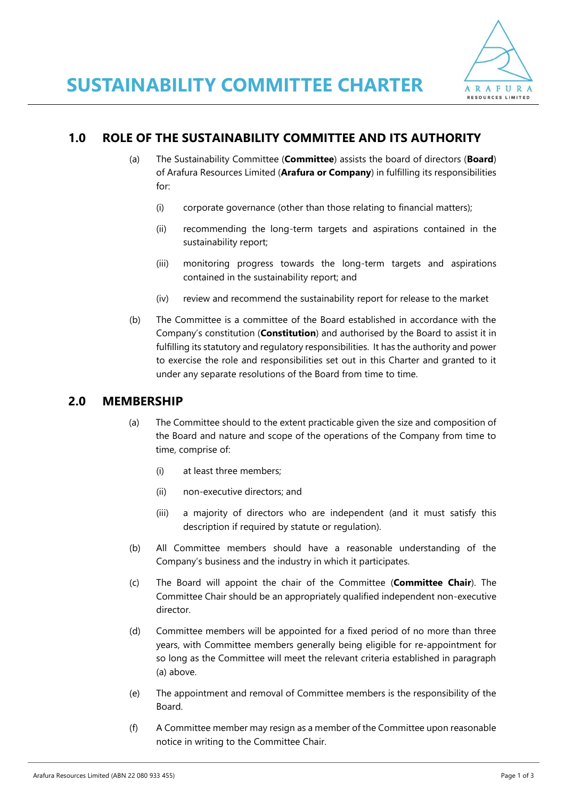

# **1.0 ROLE OF THE SUSTAINABILITY COMMITTEE AND ITS AUTHORITY**

- (a) The Sustainability Committee (**Committee**) assists the board of directors (**Board**) of Arafura Resources Limited (**Arafura or Company**) in fulfilling its responsibilities for:
	- (i) corporate governance (other than those relating to financial matters);
	- (ii) recommending the long-term targets and aspirations contained in the sustainability report;
	- (iii) monitoring progress towards the long-term targets and aspirations contained in the sustainability report; and
	- (iv) review and recommend the sustainability report for release to the market
- (b) The Committee is a committee of the Board established in accordance with the Company's constitution (**Constitution**) and authorised by the Board to assist it in fulfilling its statutory and regulatory responsibilities. It has the authority and power to exercise the role and responsibilities set out in this Charter and granted to it under any separate resolutions of the Board from time to time.

## **2.0 MEMBERSHIP**

- (a) The Committee should to the extent practicable given the size and composition of the Board and nature and scope of the operations of the Company from time to time, comprise of:
	- (i) at least three members;
	- (ii) non-executive directors; and
	- (iii) a majority of directors who are independent (and it must satisfy this description if required by statute or regulation).
- (b) All Committee members should have a reasonable understanding of the Company's business and the industry in which it participates.
- (c) The Board will appoint the chair of the Committee (**Committee Chair**). The Committee Chair should be an appropriately qualified independent non-executive director.
- (d) Committee members will be appointed for a fixed period of no more than three years, with Committee members generally being eligible for re-appointment for so long as the Committee will meet the relevant criteria established in paragraph (a) above.
- (e) The appointment and removal of Committee members is the responsibility of the Board.
- (f) A Committee member may resign as a member of the Committee upon reasonable notice in writing to the Committee Chair.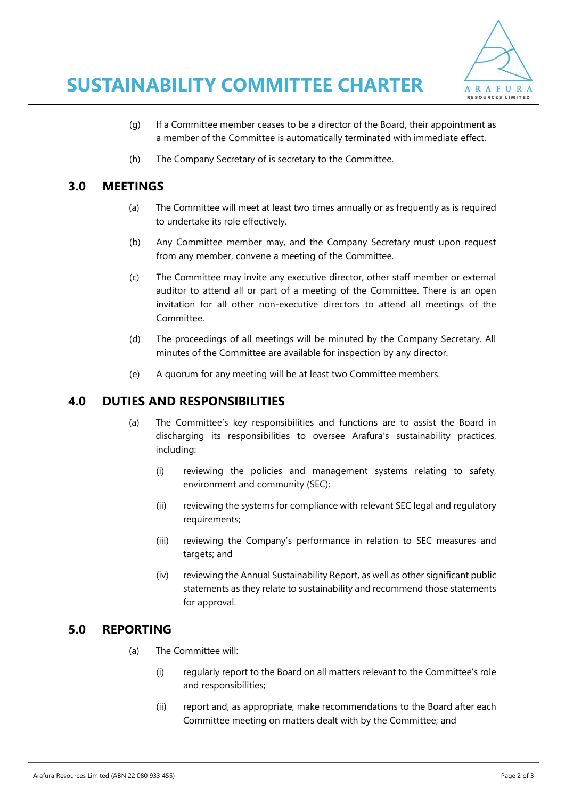

- (g) If a Committee member ceases to be a director of the Board, their appointment as a member of the Committee is automatically terminated with immediate effect.
- (h) The Company Secretary of is secretary to the Committee.

#### **3.0 MEETINGS**

- (a) The Committee will meet at least two times annually or as frequently as is required to undertake its role effectively.
- (b) Any Committee member may, and the Company Secretary must upon request from any member, convene a meeting of the Committee.
- (c) The Committee may invite any executive director, other staff member or external auditor to attend all or part of a meeting of the Committee. There is an open invitation for all other non-executive directors to attend all meetings of the Committee.
- (d) The proceedings of all meetings will be minuted by the Company Secretary. All minutes of the Committee are available for inspection by any director.
- (e) A quorum for any meeting will be at least two Committee members.

## **4.0 DUTIES AND RESPONSIBILITIES**

- (a) The Committee's key responsibilities and functions are to assist the Board in discharging its responsibilities to oversee Arafura's sustainability practices, including:
	- (i) reviewing the policies and management systems relating to safety, environment and community (SEC);
	- (ii) reviewing the systems for compliance with relevant SEC legal and regulatory requirements;
	- (iii) reviewing the Company's performance in relation to SEC measures and targets; and
	- (iv) reviewing the Annual Sustainability Report, as well as other significant public statements as they relate to sustainability and recommend those statements for approval.

#### **5.0 REPORTING**

- (a) The Committee will:
	- (i) regularly report to the Board on all matters relevant to the Committee's role and responsibilities;
	- (ii) report and, as appropriate, make recommendations to the Board after each Committee meeting on matters dealt with by the Committee; and